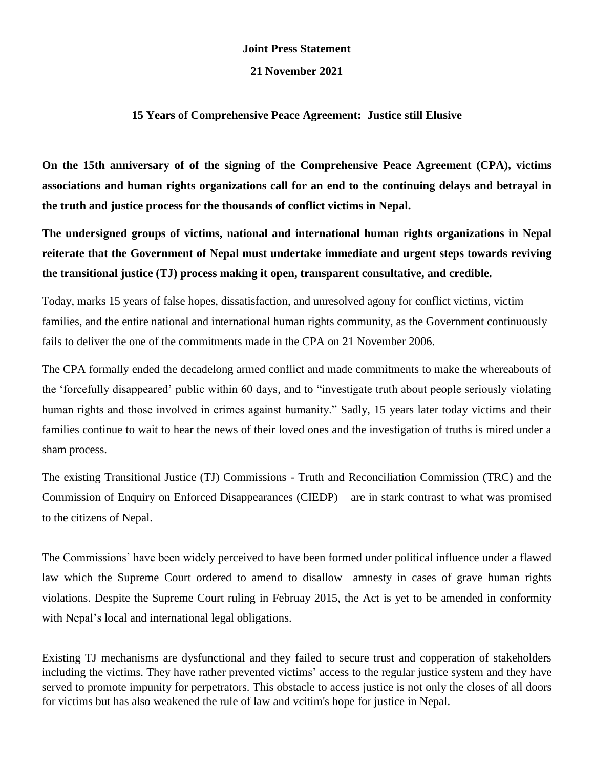## **Joint Press Statement**

## **21 November 2021**

## **15 Years of Comprehensive Peace Agreement: Justice still Elusive**

**On the 15th anniversary of of the signing of the Comprehensive Peace Agreement (CPA), victims associations and human rights organizations call for an end to the continuing delays and betrayal in the truth and justice process for the thousands of conflict victims in Nepal.**

**The undersigned groups of victims, national and international human rights organizations in Nepal reiterate that the Government of Nepal must undertake immediate and urgent steps towards reviving the transitional justice (TJ) process making it open, transparent consultative, and credible.**

Today, marks 15 years of false hopes, dissatisfaction, and unresolved agony for conflict victims, victim families, and the entire national and international human rights community, as the Government continuously fails to deliver the one of the commitments made in the CPA on 21 November 2006.

The CPA formally ended the decadelong armed conflict and made commitments to make the whereabouts of the 'forcefully disappeared' public within 60 days, and to "investigate truth about people seriously violating human rights and those involved in crimes against humanity." Sadly, 15 years later today victims and their families continue to wait to hear the news of their loved ones and the investigation of truths is mired under a sham process.

The existing Transitional Justice (TJ) Commissions - Truth and Reconciliation Commission (TRC) and the Commission of Enquiry on Enforced Disappearances (CIEDP) – are in stark contrast to what was promised to the citizens of Nepal.

The Commissions' have been widely perceived to have been formed under political influence under a flawed law which the Supreme Court ordered to amend to disallow amnesty in cases of grave human rights violations. Despite the Supreme Court ruling in Februay 2015, the Act is yet to be amended in conformity with Nepal's local and international legal obligations.

Existing TJ mechanisms are dysfunctional and they failed to secure trust and copperation of stakeholders including the victims. They have rather prevented victims' access to the regular justice system and they have served to promote impunity for perpetrators. This obstacle to access justice is not only the closes of all doors for victims but has also weakened the rule of law and vcitim's hope for justice in Nepal.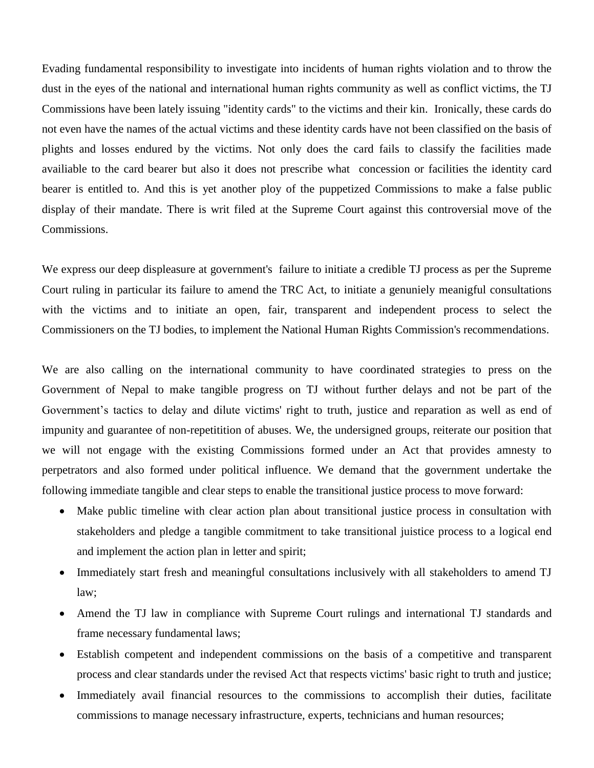Evading fundamental responsibility to investigate into incidents of human rights violation and to throw the dust in the eyes of the national and international human rights community as well as conflict victims, the TJ Commissions have been lately issuing "identity cards" to the victims and their kin. Ironically, these cards do not even have the names of the actual victims and these identity cards have not been classified on the basis of plights and losses endured by the victims. Not only does the card fails to classify the facilities made availiable to the card bearer but also it does not prescribe what concession or facilities the identity card bearer is entitled to. And this is yet another ploy of the puppetized Commissions to make a false public display of their mandate. There is writ filed at the Supreme Court against this controversial move of the Commissions.

We express our deep displeasure at government's failure to initiate a credible TJ process as per the Supreme Court ruling in particular its failure to amend the TRC Act, to initiate a genuniely meanigful consultations with the victims and to initiate an open, fair, transparent and independent process to select the Commissioners on the TJ bodies, to implement the National Human Rights Commission's recommendations.

We are also calling on the international community to have coordinated strategies to press on the Government of Nepal to make tangible progress on TJ without further delays and not be part of the Government's tactics to delay and dilute victims' right to truth, justice and reparation as well as end of impunity and guarantee of non-repetitition of abuses. We, the undersigned groups, reiterate our position that we will not engage with the existing Commissions formed under an Act that provides amnesty to perpetrators and also formed under political influence. We demand that the government undertake the following immediate tangible and clear steps to enable the transitional justice process to move forward:

- Make public timeline with clear action plan about transitional justice process in consultation with stakeholders and pledge a tangible commitment to take transitional juistice process to a logical end and implement the action plan in letter and spirit;
- Immediately start fresh and meaningful consultations inclusively with all stakeholders to amend TJ law;
- Amend the TJ law in compliance with Supreme Court rulings and international TJ standards and frame necessary fundamental laws;
- Establish competent and independent commissions on the basis of a competitive and transparent process and clear standards under the revised Act that respects victims' basic right to truth and justice;
- Immediately avail financial resources to the commissions to accomplish their duties, facilitate commissions to manage necessary infrastructure, experts, technicians and human resources;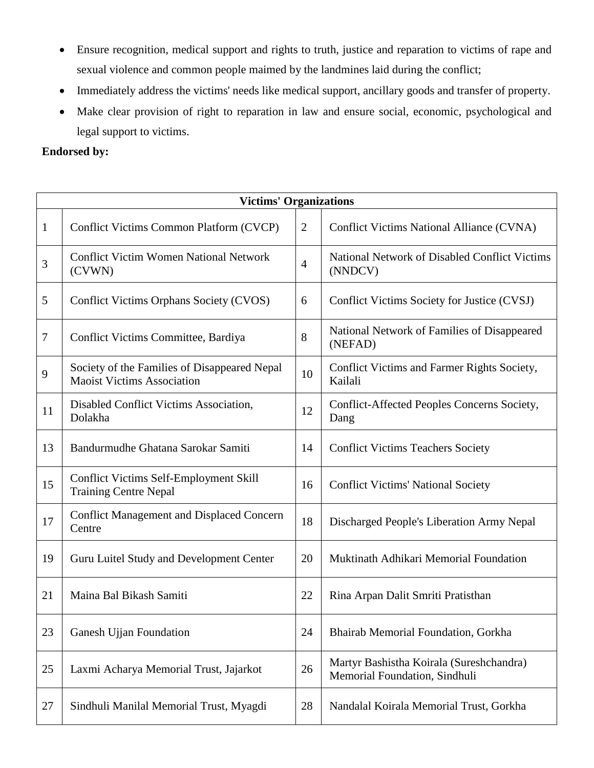- Ensure recognition, medical support and rights to truth, justice and reparation to victims of rape and sexual violence and common people maimed by the landmines laid during the conflict;
- Immediately address the victims' needs like medical support, ancillary goods and transfer of property.
- Make clear provision of right to reparation in law and ensure social, economic, psychological and legal support to victims.

## **Endorsed by:**

| <b>Victims' Organizations</b> |                                                                                   |                |                                                                           |  |  |  |
|-------------------------------|-----------------------------------------------------------------------------------|----------------|---------------------------------------------------------------------------|--|--|--|
| $\mathbf{1}$                  | Conflict Victims Common Platform (CVCP)                                           | $\overline{2}$ | Conflict Victims National Alliance (CVNA)                                 |  |  |  |
| 3                             | <b>Conflict Victim Women National Network</b><br>(CVWN)                           | $\overline{4}$ | National Network of Disabled Conflict Victims<br>(NNDCV)                  |  |  |  |
| 5                             | Conflict Victims Orphans Society (CVOS)                                           | 6              | Conflict Victims Society for Justice (CVSJ)                               |  |  |  |
| 7                             | Conflict Victims Committee, Bardiya                                               | 8              | National Network of Families of Disappeared<br>(NEFAD)                    |  |  |  |
| 9                             | Society of the Families of Disappeared Nepal<br><b>Maoist Victims Association</b> | 10             | Conflict Victims and Farmer Rights Society,<br>Kailali                    |  |  |  |
| 11                            | Disabled Conflict Victims Association,<br>Dolakha                                 | 12             | Conflict-Affected Peoples Concerns Society,<br>Dang                       |  |  |  |
| 13                            | Bandurmudhe Ghatana Sarokar Samiti                                                | 14             | <b>Conflict Victims Teachers Society</b>                                  |  |  |  |
| 15                            | <b>Conflict Victims Self-Employment Skill</b><br><b>Training Centre Nepal</b>     | 16             | <b>Conflict Victims' National Society</b>                                 |  |  |  |
| 17                            | <b>Conflict Management and Displaced Concern</b><br>Centre                        | 18             | Discharged People's Liberation Army Nepal                                 |  |  |  |
| 19                            | Guru Luitel Study and Development Center                                          | 20             | Muktinath Adhikari Memorial Foundation                                    |  |  |  |
| 21                            | Maina Bal Bikash Samiti                                                           | 22             | Rina Arpan Dalit Smriti Pratisthan                                        |  |  |  |
| 23                            | Ganesh Ujjan Foundation                                                           | 24             | Bhairab Memorial Foundation, Gorkha                                       |  |  |  |
| 25                            | Laxmi Acharya Memorial Trust, Jajarkot                                            | 26             | Martyr Bashistha Koirala (Sureshchandra)<br>Memorial Foundation, Sindhuli |  |  |  |
| 27                            | Sindhuli Manilal Memorial Trust, Myagdi                                           | 28             | Nandalal Koirala Memorial Trust, Gorkha                                   |  |  |  |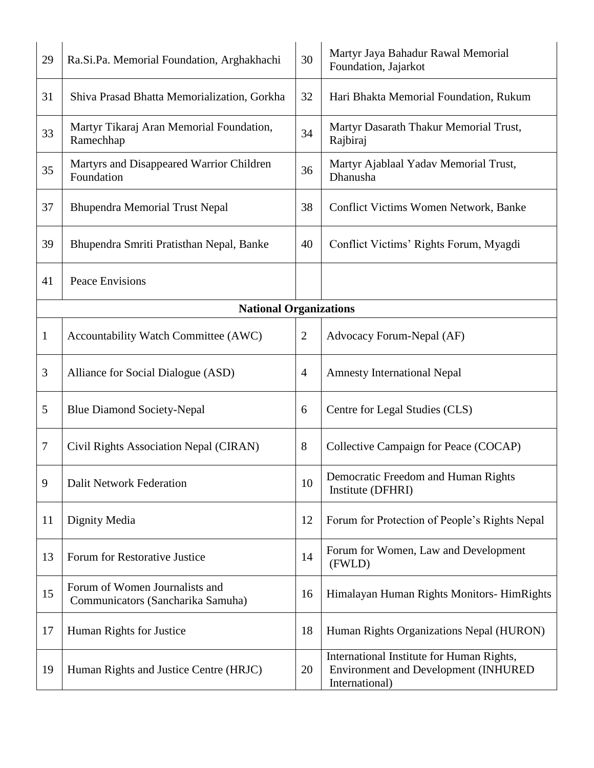| 29                            | Ra.Si.Pa. Memorial Foundation, Arghakhachi                          | 30             | Martyr Jaya Bahadur Rawal Memorial<br>Foundation, Jajarkot                                          |  |  |  |
|-------------------------------|---------------------------------------------------------------------|----------------|-----------------------------------------------------------------------------------------------------|--|--|--|
| 31                            | Shiva Prasad Bhatta Memorialization, Gorkha                         | 32             | Hari Bhakta Memorial Foundation, Rukum                                                              |  |  |  |
| 33                            | Martyr Tikaraj Aran Memorial Foundation,<br>Ramechhap               | 34             | Martyr Dasarath Thakur Memorial Trust,<br>Rajbiraj                                                  |  |  |  |
| 35                            | Martyrs and Disappeared Warrior Children<br>Foundation              | 36             | Martyr Ajablaal Yadav Memorial Trust,<br>Dhanusha                                                   |  |  |  |
| 37                            | <b>Bhupendra Memorial Trust Nepal</b>                               | 38             | Conflict Victims Women Network, Banke                                                               |  |  |  |
| 39                            | Bhupendra Smriti Pratisthan Nepal, Banke                            | 40             | Conflict Victims' Rights Forum, Myagdi                                                              |  |  |  |
| 41                            | <b>Peace Envisions</b>                                              |                |                                                                                                     |  |  |  |
| <b>National Organizations</b> |                                                                     |                |                                                                                                     |  |  |  |
| $\mathbf{1}$                  | Accountability Watch Committee (AWC)                                | $\overline{2}$ | Advocacy Forum-Nepal (AF)                                                                           |  |  |  |
| 3                             | Alliance for Social Dialogue (ASD)                                  | $\overline{4}$ | <b>Amnesty International Nepal</b>                                                                  |  |  |  |
| 5                             | <b>Blue Diamond Society-Nepal</b>                                   | 6              | Centre for Legal Studies (CLS)                                                                      |  |  |  |
| 7                             | Civil Rights Association Nepal (CIRAN)                              | 8              | Collective Campaign for Peace (COCAP)                                                               |  |  |  |
| 9                             | <b>Dalit Network Federation</b>                                     | 10             | Democratic Freedom and Human Rights<br>Institute (DFHRI)                                            |  |  |  |
| 11                            | Dignity Media                                                       | 12             | Forum for Protection of People's Rights Nepal                                                       |  |  |  |
| 13                            | Forum for Restorative Justice                                       | 14             | Forum for Women, Law and Development<br>(FWLD)                                                      |  |  |  |
| 15                            | Forum of Women Journalists and<br>Communicators (Sancharika Samuha) | 16             | Himalayan Human Rights Monitors- HimRights                                                          |  |  |  |
| 17                            | Human Rights for Justice                                            | 18             | Human Rights Organizations Nepal (HURON)                                                            |  |  |  |
| 19                            | Human Rights and Justice Centre (HRJC)                              | 20             | International Institute for Human Rights,<br>Environment and Development (INHURED<br>International) |  |  |  |